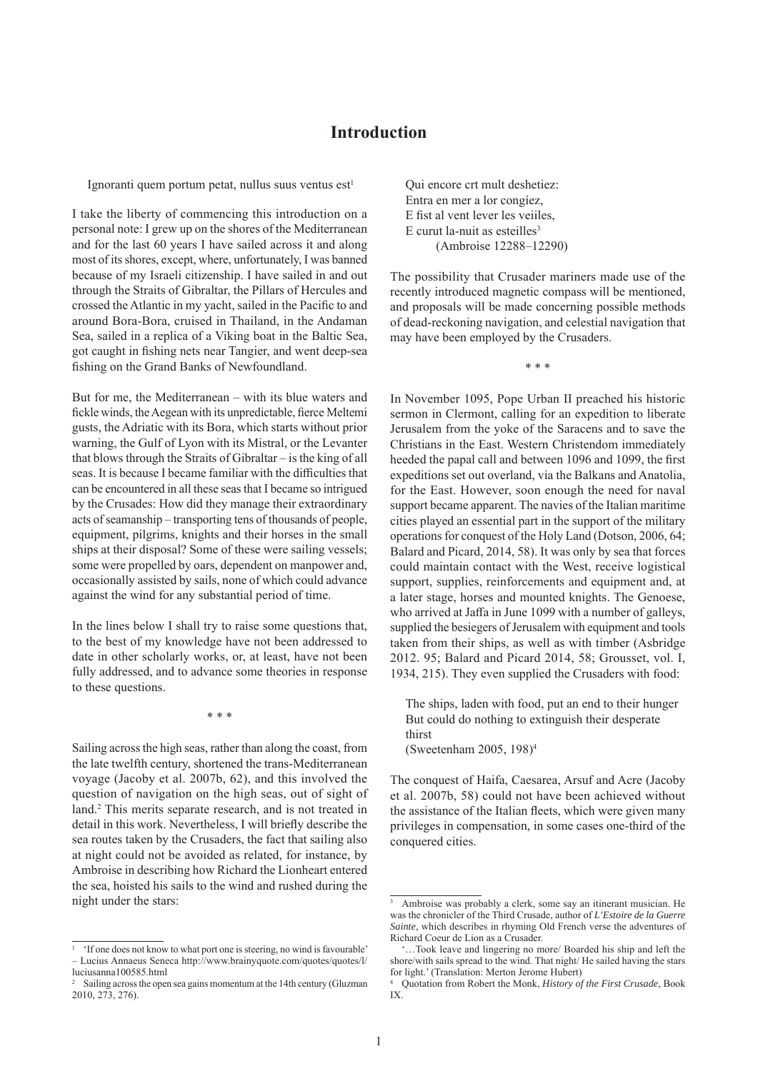## **Introduction**

Ignoranti quem portum petat, nullus suus ventus est<sup>1</sup>

I take the liberty of commencing this introduction on a personal note: I grew up on the shores of the Mediterranean and for the last 60 years I have sailed across it and along most of its shores, except, where, unfortunately, I was banned because of my Israeli citizenship. I have sailed in and out through the Straits of Gibraltar, the Pillars of Hercules and crossed the Atlantic in my yacht, sailed in the Pacific to and around Bora-Bora, cruised in Thailand, in the Andaman Sea, sailed in a replica of a Viking boat in the Baltic Sea, got caught in fishing nets near Tangier, and went deep-sea fishing on the Grand Banks of Newfoundland.

But for me, the Mediterranean – with its blue waters and fickle winds, the Aegean with its unpredictable, fierce Meltemi gusts, the Adriatic with its Bora, which starts without prior warning, the Gulf of Lyon with its Mistral, or the Levanter that blows through the Straits of Gibraltar – is the king of all seas. It is because I became familiar with the difficulties that can be encountered in all these seas that I became so intrigued by the Crusades: How did they manage their extraordinary acts of seamanship – transporting tens of thousands of people, equipment, pilgrims, knights and their horses in the small ships at their disposal? Some of these were sailing vessels; some were propelled by oars, dependent on manpower and, occasionally assisted by sails, none of which could advance against the wind for any substantial period of time.

In the lines below I shall try to raise some questions that, to the best of my knowledge have not been addressed to date in other scholarly works, or, at least, have not been fully addressed, and to advance some theories in response to these questions.

\* \* \*

Sailing across the high seas, rather than along the coast, from the late twelfth century, shortened the trans-Mediterranean voyage (Jacoby et al. 2007b, 62), and this involved the question of navigation on the high seas, out of sight of land.<sup>2</sup> This merits separate research, and is not treated in detail in this work. Nevertheless, I will briefly describe the sea routes taken by the Crusaders, the fact that sailing also at night could not be avoided as related, for instance, by Ambroise in describing how Richard the Lionheart entered the sea, hoisted his sails to the wind and rushed during the night under the stars:

Qui encore crt mult deshetiez: Entra en mer a lor congíez, E fist al vent lever les veilles.  $E$  curut la-nuit as esteilles<sup>3</sup> (Ambroise 12288–12290)

The possibility that Crusader mariners made use of the recently introduced magnetic compass will be mentioned, and proposals will be made concerning possible methods of dead-reckoning navigation, and celestial navigation that may have been employed by the Crusaders.

\* \* \*

In November 1095, Pope Urban II preached his historic sermon in Clermont, calling for an expedition to liberate Jerusalem from the yoke of the Saracens and to save the Christians in the East. Western Christendom immediately heeded the papal call and between 1096 and 1099, the first expeditions set out overland, via the Balkans and Anatolia, for the East. However, soon enough the need for naval support became apparent. The navies of the Italian maritime cities played an essential part in the support of the military operations for conquest of the Holy Land (Dotson, 2006, 64; Balard and Picard, 2014, 58). It was only by sea that forces could maintain contact with the West, receive logistical support, supplies, reinforcements and equipment and, at a later stage, horses and mounted knights. The Genoese, who arrived at Jaffa in June 1099 with a number of galleys, supplied the besiegers of Jerusalem with equipment and tools taken from their ships, as well as with timber (Asbridge 2012. 95; Balard and Picard 2014, 58; Grousset, vol. I, 1934, 215). They even supplied the Crusaders with food:

The ships, laden with food, put an end to their hunger But could do nothing to extinguish their desperate thirst (Sweetenham 2005, 198)4

The conquest of Haifa, Caesarea, Arsuf and Acre (Jacoby et al. 2007b, 58) could not have been achieved without the assistance of the Italian fleets, which were given many privileges in compensation, in some cases one-third of the conquered cities.

<sup>&</sup>lt;sup>1</sup> 'If one does not know to what port one is steering, no wind is favourable' – Lucius Annaeus Seneca http://www.brainyquote.com/quotes/quotes/l/ luciusanna100585.html

<sup>2</sup> Sailing across the open sea gains momentum at the 14th century (Gluzman 2010, 273, 276).

<sup>&</sup>lt;sup>3</sup> Ambroise was probably a clerk, some say an itinerant musician. He was the chronicler of the Third Crusade, author of *L'Estoire de la Guerre Sainte*, which describes in rhyming Old French verse the adventures of Richard Coeur de Lion as a Crusader.

 <sup>&#</sup>x27;…Took leave and lingering no more/ Boarded his ship and left the shore/with sails spread to the wind. That night/ He sailed having the stars for light.' (Translation: Merton Jerome Hubert)

<sup>4</sup> Quotation from Robert the Monk, *History of the First Crusade*, Book IX.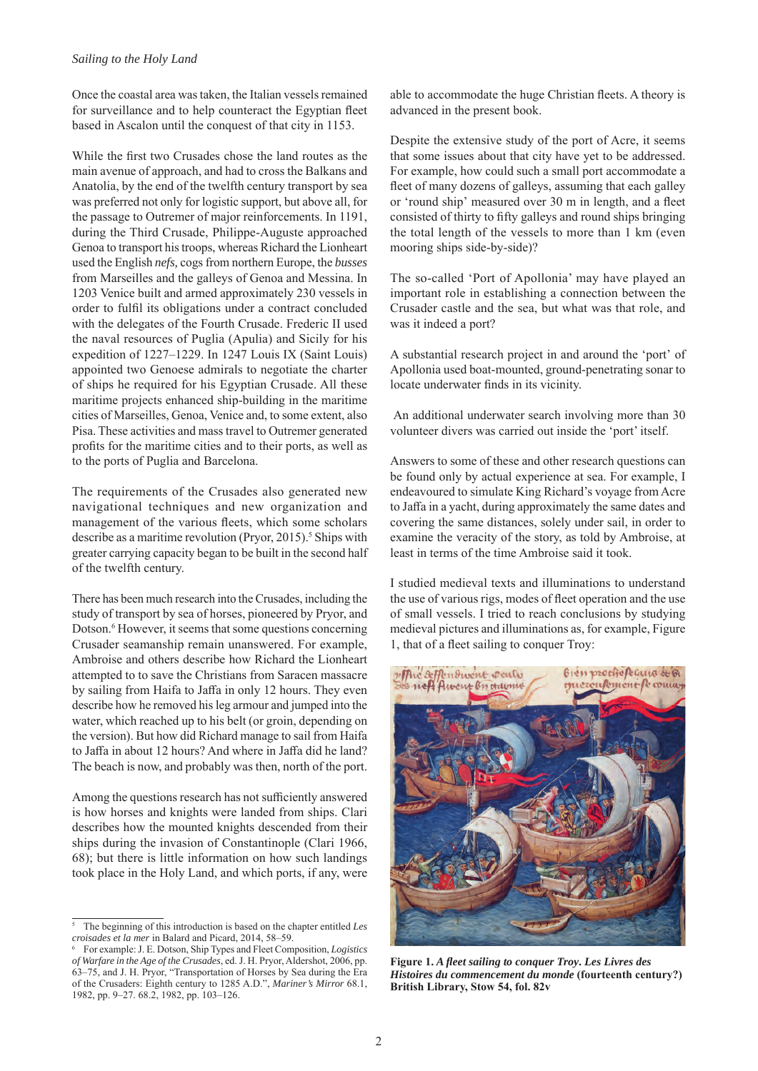Once the coastal area was taken, the Italian vessels remained for surveillance and to help counteract the Egyptian fleet based in Ascalon until the conquest of that city in 1153.

While the first two Crusades chose the land routes as the main avenue of approach, and had to cross the Balkans and Anatolia, by the end of the twelfth century transport by sea was preferred not only for logistic support, but above all, for the passage to Outremer of major reinforcements. In 1191, during the Third Crusade, Philippe-Auguste approached Genoa to transport his troops, whereas Richard the Lionheart used the English *nefs,* cogs from northern Europe, the *busses* from Marseilles and the galleys of Genoa and Messina. In 1203 Venice built and armed approximately 230 vessels in order to fulfil its obligations under a contract concluded with the delegates of the Fourth Crusade. Frederic II used the naval resources of Puglia (Apulia) and Sicily for his expedition of 1227–1229. In 1247 Louis IX (Saint Louis) appointed two Genoese admirals to negotiate the charter of ships he required for his Egyptian Crusade. All these maritime projects enhanced ship-building in the maritime cities of Marseilles, Genoa, Venice and, to some extent, also Pisa. These activities and mass travel to Outremer generated profits for the maritime cities and to their ports, as well as to the ports of Puglia and Barcelona.

The requirements of the Crusades also generated new navigational techniques and new organization and management of the various fleets, which some scholars describe as a maritime revolution (Pryor, 2015).<sup>5</sup> Ships with greater carrying capacity began to be built in the second half of the twelfth century.

There has been much research into the Crusades, including the study of transport by sea of horses, pioneered by Pryor, and Dotson.<sup>6</sup> However, it seems that some questions concerning Crusader seamanship remain unanswered. For example, Ambroise and others describe how Richard the Lionheart attempted to to save the Christians from Saracen massacre by sailing from Haifa to Jaffa in only 12 hours. They even describe how he removed his leg armour and jumped into the water, which reached up to his belt (or groin, depending on the version). But how did Richard manage to sail from Haifa to Jaffa in about 12 hours? And where in Jaffa did he land? The beach is now, and probably was then, north of the port.

Among the questions research has not sufficiently answered is how horses and knights were landed from ships. Clari describes how the mounted knights descended from their ships during the invasion of Constantinople (Clari 1966, 68); but there is little information on how such landings took place in the Holy Land, and which ports, if any, were able to accommodate the huge Christian fleets. A theory is advanced in the present book.

Despite the extensive study of the port of Acre, it seems that some issues about that city have yet to be addressed. For example, how could such a small port accommodate a fleet of many dozens of galleys, assuming that each galley or 'round ship' measured over 30 m in length, and a fleet consisted of thirty to fifty galleys and round ships bringing the total length of the vessels to more than 1 km (even mooring ships side-by-side)?

The so-called 'Port of Apollonia' may have played an important role in establishing a connection between the Crusader castle and the sea, but what was that role, and was it indeed a port?

A substantial research project in and around the 'port' of Apollonia used boat-mounted, ground-penetrating sonar to locate underwater finds in its vicinity.

 An additional underwater search involving more than 30 volunteer divers was carried out inside the 'port' itself.

Answers to some of these and other research questions can be found only by actual experience at sea. For example, I endeavoured to simulate King Richard's voyage from Acre to Jaffa in a yacht, during approximately the same dates and covering the same distances, solely under sail, in order to examine the veracity of the story, as told by Ambroise, at least in terms of the time Ambroise said it took.

I studied medieval texts and illuminations to understand the use of various rigs, modes of fleet operation and the use of small vessels. I tried to reach conclusions by studying medieval pictures and illuminations as, for example, Figure 1, that of a fleet sailing to conquer Troy:



**Figure 1.** *A fl eet sailing to conquer Troy***.** *Les Livres des Histoires du commencement du monde* **(fourteenth century?) British Library, Stow 54, fol. 82v**

<sup>5</sup> The beginning of this introduction is based on the chapter entitled *Les croisades et la mer* in Balard and Picard, 2014, 58–59.

<sup>6</sup> For example: J. E. Dotson, Ship Types and Fleet Composition, *Logistics of Warfare in the Age of the Crusades*, ed. J. H. Pryor, Aldershot, 2006, pp. 63–75, and J. H. Pryor, "Transportation of Horses by Sea during the Era of the Crusaders: Eighth century to 1285 A.D.", *Mariner's Mirror* 68.1, 1982, pp. 9–27. 68.2, 1982, pp. 103–126.